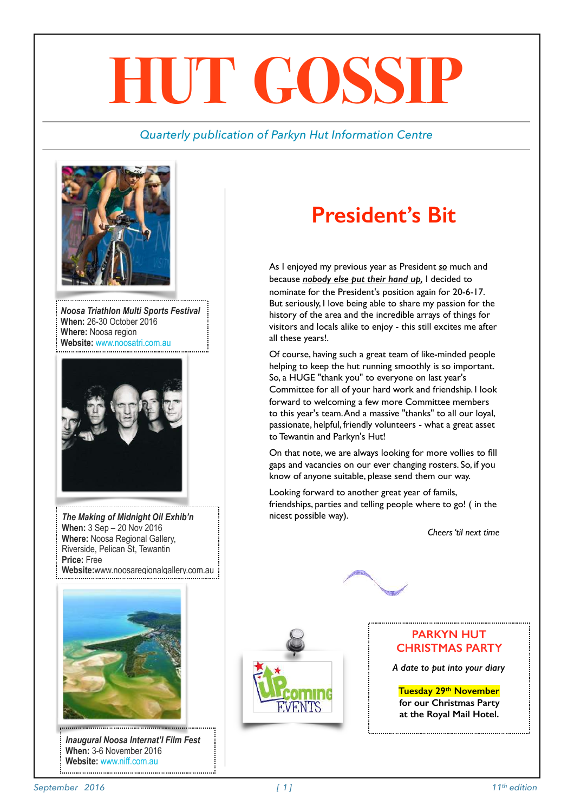# **HUT GOSSIP**

#### *Quarterly publication of Parkyn Hut Information Centre*





*Inaugural Noosa Internat'l Film Fest*  **When:** 3-6 November 2016 **Website:** [www.niff.com.au](http://www.niff.com.au/)

# **President's Bit**

As I enjoyed my previous year as President *so* much and because *nobody else put their hand up,* I decided to nominate for the President's position again for 20-6-17. But seriously, I love being able to share my passion for the history of the area and the incredible arrays of things for visitors and locals alike to enjoy - this still excites me after all these years!.

Of course, having such a great team of like-minded people helping to keep the hut running smoothly is so important. So, a HUGE "thank you" to everyone on last year's Committee for all of your hard work and friendship. I look forward to welcoming a few more Committee members to this year's team. And a massive "thanks" to all our loyal, passionate, helpful, friendly volunteers - what a great asset to Tewantin and Parkyn's Hut!

On that note, we are always looking for more vollies to fill gaps and vacancies on our ever changing rosters. So, if you know of anyone suitable, please send them our way.

Looking forward to another great year of famils, friendships, parties and telling people where to go! ( in the nicest possible way).

*Cheers 'til next time* 



#### **PARKYN HUT CHRISTMAS PARTY**

*A date to put into your diary*

**Tuesday 29th November for our Christmas Party at the Royal Mail Hotel.**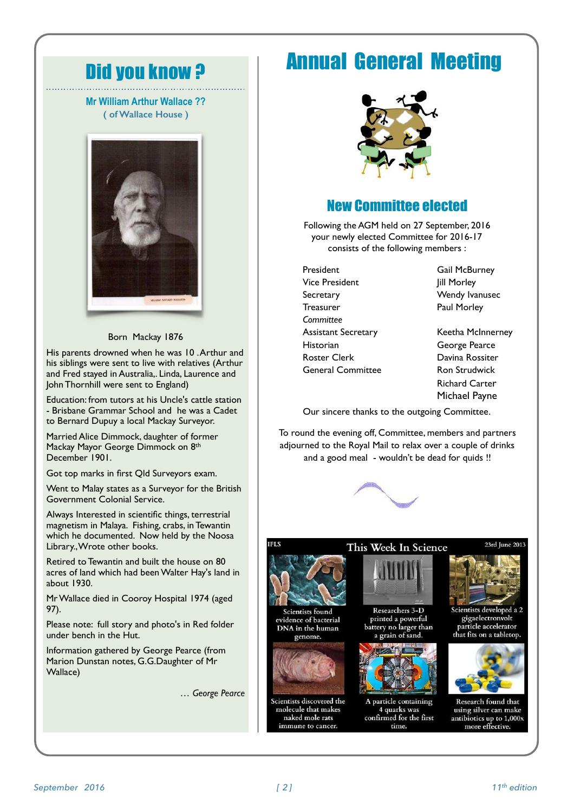### Did you know ?

#### **Mr William Arthur Wallace ?? ( of Wallace House )**



Born Mackay 1876

His parents drowned when he was 10 . Arthur and his siblings were sent to live with relatives (Arthur and Fred stayed in Australia,. Linda, Laurence and John Thornhill were sent to England)

Education: from tutors at his Uncle's cattle station - Brisbane Grammar School and he was a Cadet to Bernard Dupuy a local Mackay Surveyor.

Married Alice Dimmock, daughter of former Mackay Mayor George Dimmock on 8th December 1901.

Got top marks in first Qld Surveyors exam.

Went to Malay states as a Surveyor for the British Government Colonial Service.

Always Interested in scientific things, terrestrial magnetism in Malaya. Fishing, crabs, in Tewantin which he documented. Now held by the Noosa Library., Wrote other books.

Retired to Tewantin and built the house on 80 acres of land which had been Walter Hay's land in about 1930.

Mr Wallace died in Cooroy Hospital 1974 (aged 97).

Please note: full story and photo's in Red folder under bench in the Hut.

Information gathered by George Pearce (from Marion Dunstan notes, G.G.Daughter of Mr Wallace)

*… George Pearce*

### Annual General Meeting



### New Committee elected

Following the AGM held on 27 September, 2016 your newly elected Committee for 2016-17 consists of the following members :

President Gail McBurney Vice President Jill Morley Secretary Wendy Ivanusec Treasurer **Paul Morley** *Committee* Assistant Secretary Keetha McInnerney Historian George Pearce Roster Clerk Davina Rossiter General Committee **Ron Strudwick** 

Richard Carter Michael Payne

Our sincere thanks to the outgoing Committee.

To round the evening off, Committee, members and partners adjourned to the Royal Mail to relax over a couple of drinks and a good meal - wouldn't be dead for quids !!



#### This Week In Science



**IFLS** 

evidence of bacterial DNA in the human genome.



Scientists discovered the molecule that makes naked mole rats immune to cancer.



Researchers 3-D printed a powerful ttery no larger than a grain of sand.



A particle containing 4 quarks was confirmed for the first time.



ientists developed a 2 gigaelectronvolt particle accelerator that fits on a tabletop.



Research found that using silver can make antibiotics up to 1,000x<br>more effective.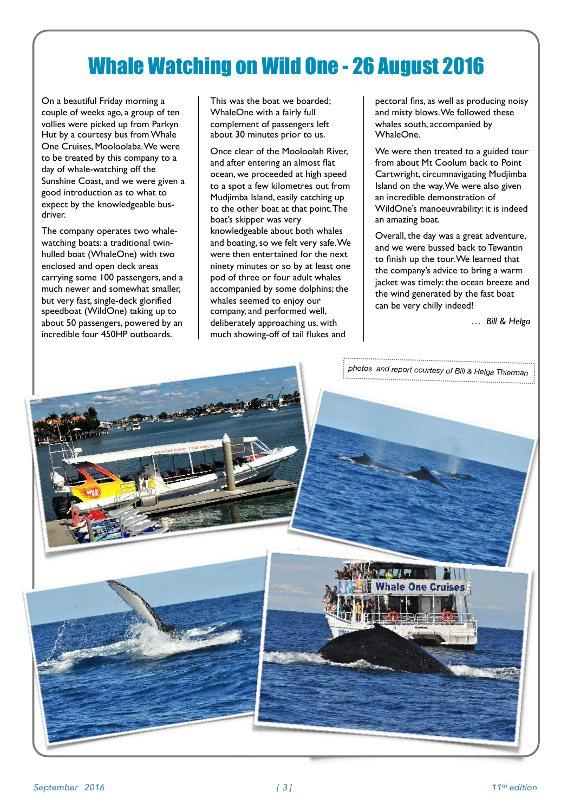# Whale Watching on Wild One - 26 August 2016

On a beautiful Friday morning a couple of weeks ago, a group of ten vollies were picked up from Parkyn Hut by a courtesy bus from Whale One Cruises, Mooloolaba. We were to be treated by this company to a day of whale-watching off the Sunshine Coast, and we were given a good introduction as to what to expect by the knowledgeable busdriver.

The company operates two whalewatching boats: a traditional twinhulled boat (WhaleOne) with two enclosed and open deck areas carrying some 100 passengers, and a much newer and somewhat smaller, but very fast, single-deck glorified speedboat (WildOne) taking up to about 50 passengers, powered by an incredible four 450HP outboards.

This was the boat we boarded; WhaleOne with a fairly full complement of passengers left about 30 minutes prior to us.

Once clear of the Mooloolah River, and after entering an almost flat ocean, we proceeded at high speed to a spot a few kilometres out from Mudjimba Island, easily catching up to the other boat at that point. The boat's skipper was very knowledgeable about both whales and boating, so we felt very safe. We were then entertained for the next ninety minutes or so by at least one pod of three or four adult whales accompanied by some dolphins; the whales seemed to enjoy our company, and performed well, deliberately approaching us, with much showing-off of tail flukes and

pectoral fins, as well as producing noisy and misty blows. We followed these whales south, accompanied by WhaleOne.

We were then treated to a guided tour from about Mt Coolum back to Point Cartwright, circumnavigating Mudjimba Island on the way. We were also given an incredible demonstration of WildOne's manoeuvrability: it is indeed an amazing boat.

Overall, the day was a great adventure, and we were bussed back to Tewantin to finish up the tour. We learned that the company's advice to bring a warm jacket was timely: the ocean breeze and the wind generated by the fast boat can be very chilly indeed!

*… Bill & Helga*

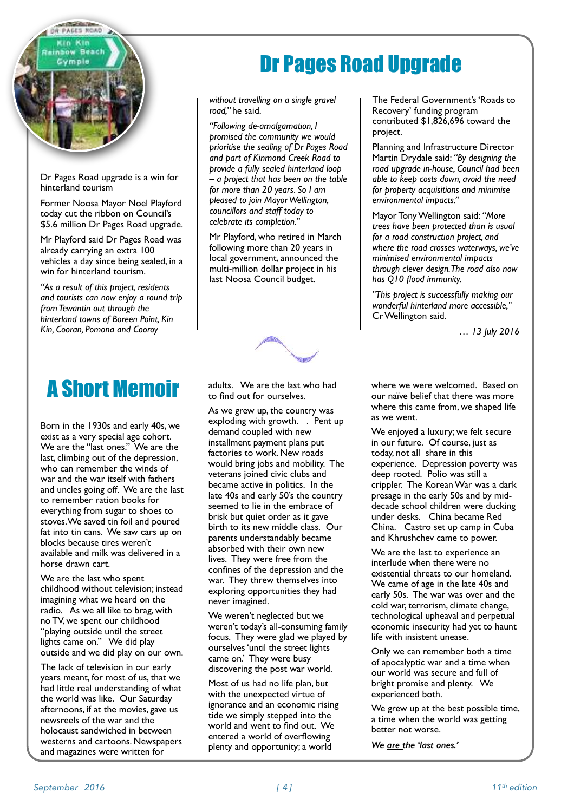

Dr Pages Road upgrade is a win for hinterland tourism

Former Noosa Mayor Noel Playford today cut the ribbon on Council's \$5.6 million Dr Pages Road upgrade.

Mr Playford said Dr Pages Road was already carrying an extra 100 vehicles a day since being sealed, in a win for hinterland tourism.

*"As a result of this project, residents and tourists can now enjoy a round trip from Tewantin out through the hinterland towns of Boreen Point, Kin Kin, Cooran, Pomona and Cooroy* 

# A Short Memoir

Born in the 1930s and early 40s, we exist as a very special age cohort. We are the "last ones." We are the last, climbing out of the depression, who can remember the winds of war and the war itself with fathers and uncles going off. We are the last to remember ration books for everything from sugar to shoes to stoves. We saved tin foil and poured fat into tin cans. We saw cars up on blocks because tires weren't available and milk was delivered in a horse drawn cart.

We are the last who spent childhood without television; instead imagining what we heard on the radio. As we all like to brag, with no TV, we spent our childhood "playing outside until the street lights came on." We did play outside and we did play on our own.

The lack of television in our early years meant, for most of us, that we had little real understanding of what the world was like. Our Saturday afternoons, if at the movies, gave us newsreels of the war and the holocaust sandwiched in between westerns and cartoons. Newspapers and magazines were written for

# Dr Pages Road Upgrade

*without travelling on a single gravel road,"* he said.

*"Following de-amalgamation, I promised the community we would prioritise the sealing of Dr Pages Road and part of Kinmond Creek Road to provide a fully sealed hinterland loop – a project that has been on the table for more than 20 years. So I am pleased to join Mayor Wellington, councillors and staff today to celebrate its completion."*

Mr Playford, who retired in March following more than 20 years in local government, announced the multi-million dollar project in his last Noosa Council budget.

adults. We are the last who had to find out for ourselves.

As we grew up, the country was exploding with growth. . Pent up demand coupled with new installment payment plans put factories to work. New roads would bring jobs and mobility. The veterans joined civic clubs and became active in politics. In the late 40s and early 50's the country seemed to lie in the embrace of brisk but quiet order as it gave birth to its new middle class. Our parents understandably became absorbed with their own new lives. They were free from the confines of the depression and the war. They threw themselves into exploring opportunities they had never imagined.

We weren't neglected but we weren't today's all-consuming family focus. They were glad we played by ourselves 'until the street lights came on.' They were busy discovering the post war world.

Most of us had no life plan, but with the unexpected virtue of ignorance and an economic rising tide we simply stepped into the world and went to find out. We entered a world of overflowing plenty and opportunity; a world

The Federal Government's 'Roads to Recovery' funding program contributed \$1,826,696 toward the project.

Planning and Infrastructure Director Martin Drydale said: *"By designing the road upgrade in-house, Council had been able to keep costs down, avoid the need for property acquisitions and minimise environmental impacts."*

Mayor Tony Wellington said: *"More trees have been protected than is usual for a road construction project, and where the road crosses waterways, we've minimised environmental impacts through clever design. The road also now has Q10 flood immunity.*

*"This project is successfully making our wonderful hinterland more accessible,"* Cr Wellington said.

*… 13 July 2016*

where we were welcomed. Based on our naïve belief that there was more where this came from, we shaped life as we went.

We enjoyed a luxury; we felt secure in our future. Of course, just as today, not all share in this experience. Depression poverty was deep rooted. Polio was still a crippler. The Korean War was a dark presage in the early 50s and by middecade school children were ducking under desks. China became Red China. Castro set up camp in Cuba and Khrushchev came to power.

We are the last to experience an interlude when there were no existential threats to our homeland. We came of age in the late 40s and early 50s. The war was over and the cold war, terrorism, climate change, technological upheaval and perpetual economic insecurity had yet to haunt life with insistent unease.

Only we can remember both a time of apocalyptic war and a time when our world was secure and full of bright promise and plenty. We experienced both.

We grew up at the best possible time, a time when the world was getting better not worse.

*We are the 'last ones.'*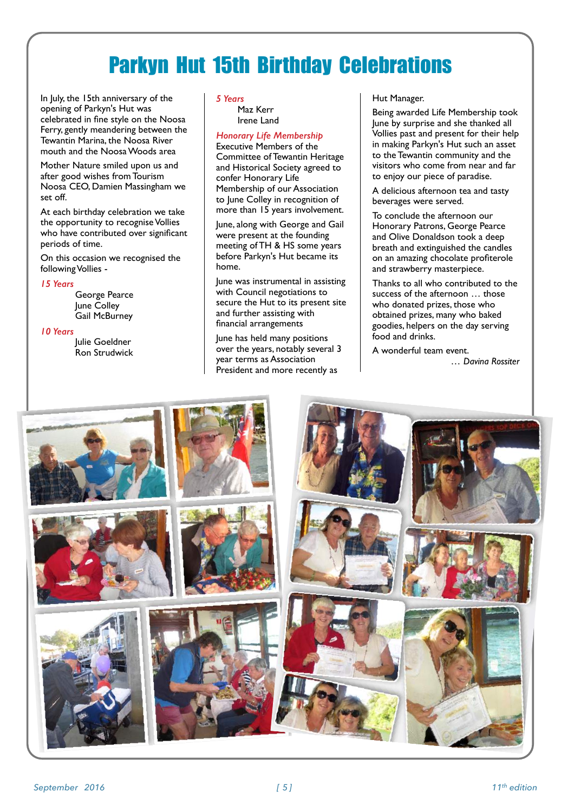## Parkyn Hut 15th Birthday Celebrations

In July, the 15th anniversary of the opening of Parkyn's Hut was celebrated in fine style on the Noosa Ferry, gently meandering between the Tewantin Marina, the Noosa River mouth and the Noosa Woods area

Mother Nature smiled upon us and after good wishes from Tourism Noosa CEO, Damien Massingham we set off.

At each birthday celebration we take the opportunity to recognise Vollies who have contributed over significant periods of time.

On this occasion we recognised the following Vollies -

#### *15 Years*

George Pearce June Colley Gail McBurney

*10 Years*

Julie Goeldner Ron Strudwick

#### *5 Years*

Maz Kerr Irene Land

#### *Honorary Life Membership*

Executive Members of the Committee of Tewantin Heritage and Historical Society agreed to confer Honorary Life Membership of our Association to June Colley in recognition of more than 15 years involvement.

June, along with George and Gail were present at the founding meeting of TH & HS some years before Parkyn's Hut became its home.

June was instrumental in assisting with Council negotiations to secure the Hut to its present site and further assisting with financial arrangements

June has held many positions over the years, notably several 3 year terms as Association President and more recently as

#### Hut Manager.

Being awarded Life Membership took June by surprise and she thanked all Vollies past and present for their help in making Parkyn's Hut such an asset to the Tewantin community and the visitors who come from near and far to enjoy our piece of paradise.

A delicious afternoon tea and tasty beverages were served.

To conclude the afternoon our Honorary Patrons, George Pearce and Olive Donaldson took a deep breath and extinguished the candles on an amazing chocolate profiterole and strawberry masterpiece.

Thanks to all who contributed to the success of the afternoon … those who donated prizes, those who obtained prizes, many who baked goodies, helpers on the day serving food and drinks.

A wonderful team event. *… Davina Rossiter*